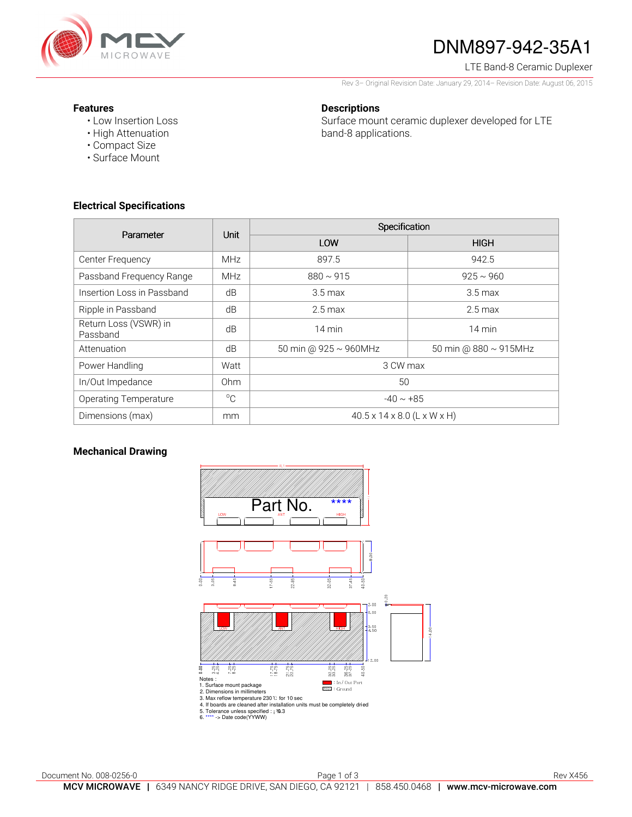

# DNM897-942-35A1

LTE Band-8 Ceramic Duplexer

Rev 3– Original Revision Date: January 29, 2014– Revision Date: August 06, 2015

#### **Features**

• Low Insertion Loss

**Descriptions** 

Surface mount ceramic duplexer developed for LTE band-8 applications.

- High Attenuation • Compact Size
- Surface Mount

## **Electrical Specifications**

| Parameter                         | <b>Unit</b>  | Specification                           |                             |
|-----------------------------------|--------------|-----------------------------------------|-----------------------------|
|                                   |              | LOW                                     | <b>HIGH</b>                 |
| Center Frequency                  | <b>MHz</b>   | 897.5                                   | 942.5                       |
| Passband Frequency Range          | <b>MHz</b>   | $880 \sim 915$                          | $925 \sim 960$              |
| Insertion Loss in Passband        | dB           | $3.5 \,\mathrm{max}$                    | $3.5 \,\mathrm{max}$        |
| Ripple in Passband                | dB           | $2.5 \,\mathrm{max}$                    | $2.5 \,\mathrm{max}$        |
| Return Loss (VSWR) in<br>Passband | dB           | 14 min                                  | $14 \text{ min}$            |
| Attenuation                       | dB           | 50 min @ 925 ~ 960MHz                   | 50 min @ $880 \sim 915$ MHz |
| Power Handling                    | Watt         | 3 CW max                                |                             |
| In/Out Impedance                  | Ohm          | 50                                      |                             |
| <b>Operating Temperature</b>      | $^{\circ}$ C | $-40 \sim +85$                          |                             |
| Dimensions (max)                  | mm           | $40.5 \times 14 \times 8.0$ (L x W x H) |                             |

## **Mechanical Drawing**

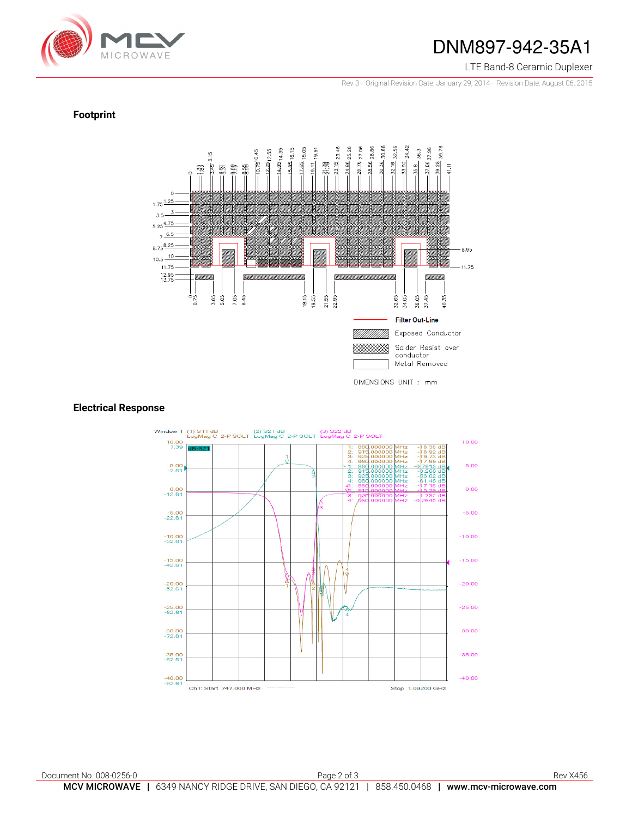

## DNM897-942-35A1

#### LTE Band-8 Ceramic Duplexer

Rev 3– Original Revision Date: January 29, 2014– Revision Date: August 06, 2015

### **Footprint**



#### **Electrical Response**